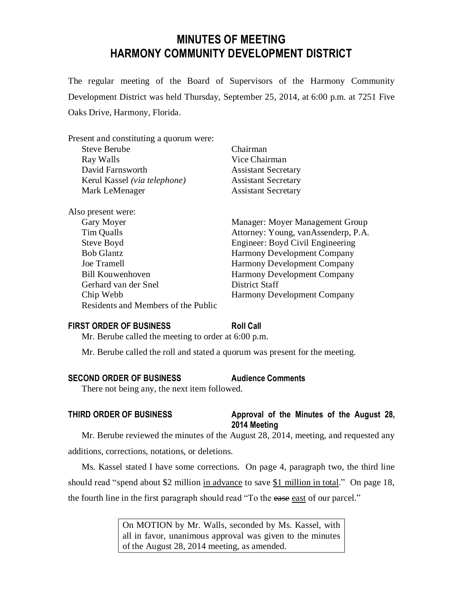# **MINUTES OF MEETING HARMONY COMMUNITY DEVELOPMENT DISTRICT**

The regular meeting of the Board of Supervisors of the Harmony Community Development District was held Thursday, September 25, 2014, at 6:00 p.m. at 7251 Five Oaks Drive, Harmony, Florida.

| Present and constituting a quorum were: |                                     |
|-----------------------------------------|-------------------------------------|
| <b>Steve Berube</b>                     | Chairman                            |
| Ray Walls                               | Vice Chairman                       |
| David Farnsworth                        | <b>Assistant Secretary</b>          |
| Kerul Kassel (via telephone)            | <b>Assistant Secretary</b>          |
| Mark LeMenager                          | <b>Assistant Secretary</b>          |
| Also present were:                      |                                     |
| Gary Moyer                              | Manager: Moyer Management Group     |
| Tim Qualls                              | Attorney: Young, vanAssenderp, P.A. |
| Steve Boyd                              | Engineer: Boyd Civil Engineering    |
| <b>Bob Glantz</b>                       | <b>Harmony Development Company</b>  |
| Joe Tramell                             | <b>Harmony Development Company</b>  |
| <b>Bill Kouwenhoven</b>                 | <b>Harmony Development Company</b>  |
| Gerhard van der Snel                    | District Staff                      |
| Chip Webb                               | <b>Harmony Development Company</b>  |
| Residents and Members of the Public     |                                     |
|                                         |                                     |

#### **FIRST ORDER OF BUSINESS Roll Call**

Mr. Berube called the meeting to order at 6:00 p.m.

Mr. Berube called the roll and stated a quorum was present for the meeting.

#### **SECOND ORDER OF BUSINESS Audience Comments**

There not being any, the next item followed.

# **THIRD ORDER OF BUSINESS Approval of the Minutes of the August 28, 2014 Meeting**

Mr. Berube reviewed the minutes of the August 28, 2014, meeting, and requested any additions, corrections, notations, or deletions.

Ms. Kassel stated I have some corrections. On page 4, paragraph two, the third line should read "spend about \$2 million in advance to save \$1 million in total." On page 18, the fourth line in the first paragraph should read "To the ease east of our parcel."

> On MOTION by Mr. Walls, seconded by Ms. Kassel, with all in favor, unanimous approval was given to the minutes of the August 28, 2014 meeting, as amended.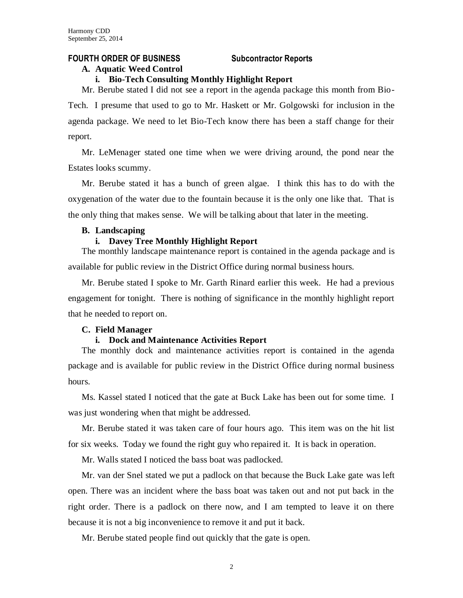# **FOURTH ORDER OF BUSINESS Subcontractor Reports**

#### **A. Aquatic Weed Control**

#### **i. Bio-Tech Consulting Monthly Highlight Report**

Mr. Berube stated I did not see a report in the agenda package this month from Bio-Tech. I presume that used to go to Mr. Haskett or Mr. Golgowski for inclusion in the agenda package. We need to let Bio-Tech know there has been a staff change for their report.

Mr. LeMenager stated one time when we were driving around, the pond near the Estates looks scummy.

Mr. Berube stated it has a bunch of green algae. I think this has to do with the oxygenation of the water due to the fountain because it is the only one like that. That is the only thing that makes sense. We will be talking about that later in the meeting.

#### **B. Landscaping**

#### **i. Davey Tree Monthly Highlight Report**

The monthly landscape maintenance report is contained in the agenda package and is available for public review in the District Office during normal business hours.

Mr. Berube stated I spoke to Mr. Garth Rinard earlier this week. He had a previous engagement for tonight. There is nothing of significance in the monthly highlight report that he needed to report on.

#### **C. Field Manager**

#### **i. Dock and Maintenance Activities Report**

The monthly dock and maintenance activities report is contained in the agenda package and is available for public review in the District Office during normal business hours.

Ms. Kassel stated I noticed that the gate at Buck Lake has been out for some time. I was just wondering when that might be addressed.

Mr. Berube stated it was taken care of four hours ago. This item was on the hit list for six weeks. Today we found the right guy who repaired it. It is back in operation.

Mr. Walls stated I noticed the bass boat was padlocked.

Mr. van der Snel stated we put a padlock on that because the Buck Lake gate was left open. There was an incident where the bass boat was taken out and not put back in the right order. There is a padlock on there now, and I am tempted to leave it on there because it is not a big inconvenience to remove it and put it back.

Mr. Berube stated people find out quickly that the gate is open.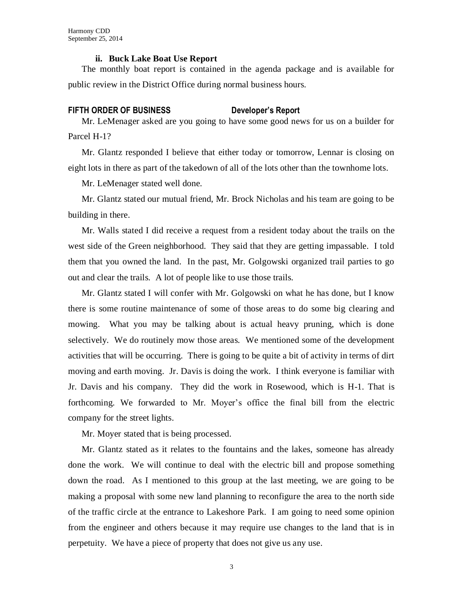#### **ii. Buck Lake Boat Use Report**

The monthly boat report is contained in the agenda package and is available for public review in the District Office during normal business hours.

#### **FIFTH ORDER OF BUSINESS Developer's Report**

Mr. LeMenager asked are you going to have some good news for us on a builder for Parcel H-1?

Mr. Glantz responded I believe that either today or tomorrow, Lennar is closing on eight lots in there as part of the takedown of all of the lots other than the townhome lots.

Mr. LeMenager stated well done.

Mr. Glantz stated our mutual friend, Mr. Brock Nicholas and his team are going to be building in there.

Mr. Walls stated I did receive a request from a resident today about the trails on the west side of the Green neighborhood. They said that they are getting impassable. I told them that you owned the land. In the past, Mr. Golgowski organized trail parties to go out and clear the trails. A lot of people like to use those trails.

Mr. Glantz stated I will confer with Mr. Golgowski on what he has done, but I know there is some routine maintenance of some of those areas to do some big clearing and mowing. What you may be talking about is actual heavy pruning, which is done selectively. We do routinely mow those areas. We mentioned some of the development activities that will be occurring. There is going to be quite a bit of activity in terms of dirt moving and earth moving. Jr. Davis is doing the work. I think everyone is familiar with Jr. Davis and his company. They did the work in Rosewood, which is H-1. That is forthcoming. We forwarded to Mr. Moyer's office the final bill from the electric company for the street lights.

Mr. Moyer stated that is being processed.

Mr. Glantz stated as it relates to the fountains and the lakes, someone has already done the work. We will continue to deal with the electric bill and propose something down the road. As I mentioned to this group at the last meeting, we are going to be making a proposal with some new land planning to reconfigure the area to the north side of the traffic circle at the entrance to Lakeshore Park. I am going to need some opinion from the engineer and others because it may require use changes to the land that is in perpetuity. We have a piece of property that does not give us any use.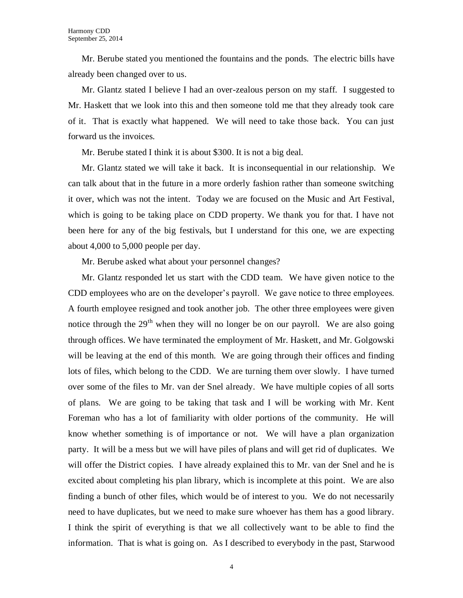Mr. Berube stated you mentioned the fountains and the ponds. The electric bills have already been changed over to us.

Mr. Glantz stated I believe I had an over-zealous person on my staff. I suggested to Mr. Haskett that we look into this and then someone told me that they already took care of it. That is exactly what happened. We will need to take those back. You can just forward us the invoices.

Mr. Berube stated I think it is about \$300. It is not a big deal.

Mr. Glantz stated we will take it back. It is inconsequential in our relationship. We can talk about that in the future in a more orderly fashion rather than someone switching it over, which was not the intent. Today we are focused on the Music and Art Festival, which is going to be taking place on CDD property. We thank you for that. I have not been here for any of the big festivals, but I understand for this one, we are expecting about 4,000 to 5,000 people per day.

Mr. Berube asked what about your personnel changes?

Mr. Glantz responded let us start with the CDD team. We have given notice to the CDD employees who are on the developer's payroll. We gave notice to three employees. A fourth employee resigned and took another job. The other three employees were given notice through the  $29<sup>th</sup>$  when they will no longer be on our payroll. We are also going through offices. We have terminated the employment of Mr. Haskett, and Mr. Golgowski will be leaving at the end of this month. We are going through their offices and finding lots of files, which belong to the CDD. We are turning them over slowly. I have turned over some of the files to Mr. van der Snel already. We have multiple copies of all sorts of plans. We are going to be taking that task and I will be working with Mr. Kent Foreman who has a lot of familiarity with older portions of the community. He will know whether something is of importance or not. We will have a plan organization party. It will be a mess but we will have piles of plans and will get rid of duplicates. We will offer the District copies. I have already explained this to Mr. van der Snel and he is excited about completing his plan library, which is incomplete at this point. We are also finding a bunch of other files, which would be of interest to you. We do not necessarily need to have duplicates, but we need to make sure whoever has them has a good library. I think the spirit of everything is that we all collectively want to be able to find the information. That is what is going on. As I described to everybody in the past, Starwood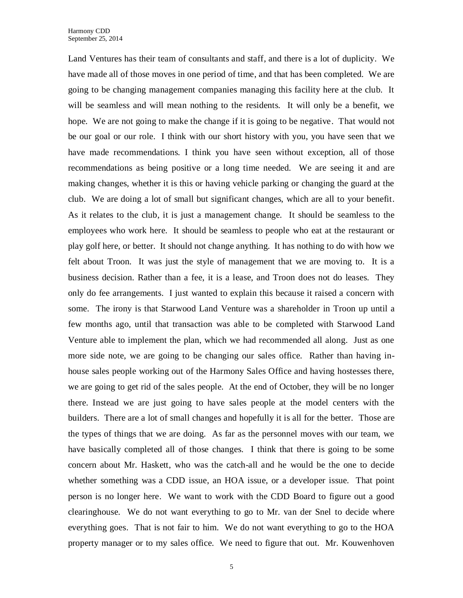Land Ventures has their team of consultants and staff, and there is a lot of duplicity. We have made all of those moves in one period of time, and that has been completed. We are going to be changing management companies managing this facility here at the club. It will be seamless and will mean nothing to the residents. It will only be a benefit, we hope. We are not going to make the change if it is going to be negative. That would not be our goal or our role. I think with our short history with you, you have seen that we have made recommendations. I think you have seen without exception, all of those recommendations as being positive or a long time needed. We are seeing it and are making changes, whether it is this or having vehicle parking or changing the guard at the club. We are doing a lot of small but significant changes, which are all to your benefit. As it relates to the club, it is just a management change. It should be seamless to the employees who work here. It should be seamless to people who eat at the restaurant or play golf here, or better. It should not change anything. It has nothing to do with how we felt about Troon. It was just the style of management that we are moving to. It is a business decision. Rather than a fee, it is a lease, and Troon does not do leases. They only do fee arrangements. I just wanted to explain this because it raised a concern with some. The irony is that Starwood Land Venture was a shareholder in Troon up until a few months ago, until that transaction was able to be completed with Starwood Land Venture able to implement the plan, which we had recommended all along. Just as one more side note, we are going to be changing our sales office. Rather than having inhouse sales people working out of the Harmony Sales Office and having hostesses there, we are going to get rid of the sales people. At the end of October, they will be no longer there. Instead we are just going to have sales people at the model centers with the builders. There are a lot of small changes and hopefully it is all for the better. Those are the types of things that we are doing. As far as the personnel moves with our team, we have basically completed all of those changes. I think that there is going to be some concern about Mr. Haskett, who was the catch-all and he would be the one to decide whether something was a CDD issue, an HOA issue, or a developer issue. That point person is no longer here. We want to work with the CDD Board to figure out a good clearinghouse. We do not want everything to go to Mr. van der Snel to decide where everything goes. That is not fair to him. We do not want everything to go to the HOA property manager or to my sales office. We need to figure that out. Mr. Kouwenhoven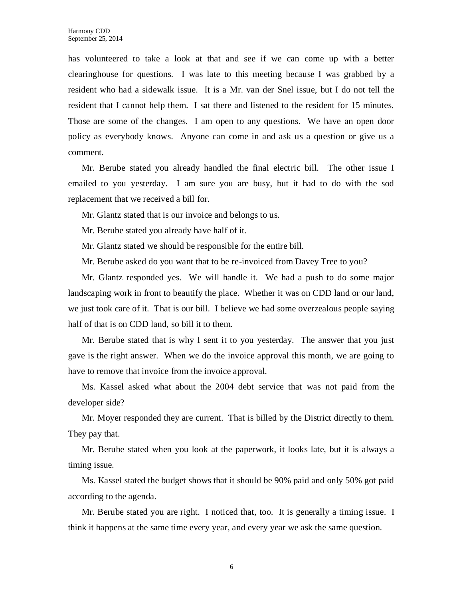has volunteered to take a look at that and see if we can come up with a better clearinghouse for questions. I was late to this meeting because I was grabbed by a resident who had a sidewalk issue. It is a Mr. van der Snel issue, but I do not tell the resident that I cannot help them. I sat there and listened to the resident for 15 minutes. Those are some of the changes. I am open to any questions. We have an open door policy as everybody knows. Anyone can come in and ask us a question or give us a comment.

Mr. Berube stated you already handled the final electric bill. The other issue I emailed to you yesterday. I am sure you are busy, but it had to do with the sod replacement that we received a bill for.

Mr. Glantz stated that is our invoice and belongs to us.

Mr. Berube stated you already have half of it.

Mr. Glantz stated we should be responsible for the entire bill.

Mr. Berube asked do you want that to be re-invoiced from Davey Tree to you?

Mr. Glantz responded yes. We will handle it. We had a push to do some major landscaping work in front to beautify the place. Whether it was on CDD land or our land, we just took care of it. That is our bill. I believe we had some overzealous people saying half of that is on CDD land, so bill it to them.

Mr. Berube stated that is why I sent it to you yesterday. The answer that you just gave is the right answer. When we do the invoice approval this month, we are going to have to remove that invoice from the invoice approval.

Ms. Kassel asked what about the 2004 debt service that was not paid from the developer side?

Mr. Moyer responded they are current. That is billed by the District directly to them. They pay that.

Mr. Berube stated when you look at the paperwork, it looks late, but it is always a timing issue.

Ms. Kassel stated the budget shows that it should be 90% paid and only 50% got paid according to the agenda.

Mr. Berube stated you are right. I noticed that, too. It is generally a timing issue. I think it happens at the same time every year, and every year we ask the same question.

6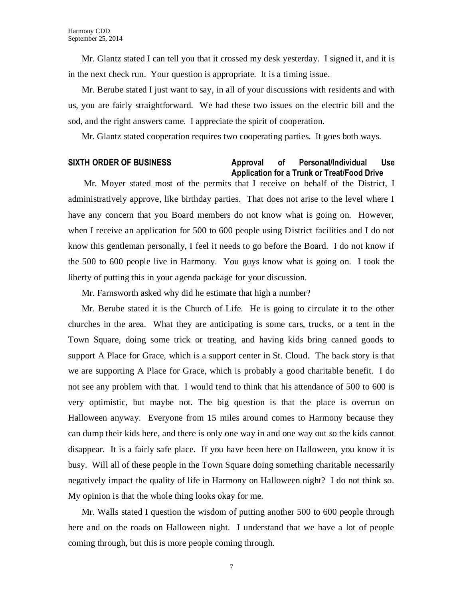Mr. Glantz stated I can tell you that it crossed my desk yesterday. I signed it, and it is in the next check run. Your question is appropriate. It is a timing issue.

Mr. Berube stated I just want to say, in all of your discussions with residents and with us, you are fairly straightforward. We had these two issues on the electric bill and the sod, and the right answers came. I appreciate the spirit of cooperation.

Mr. Glantz stated cooperation requires two cooperating parties. It goes both ways.

#### **SIXTH ORDER OF BUSINESS Approval of Personal/Individual Use Application for a Trunk or Treat/Food Drive**

Mr. Moyer stated most of the permits that I receive on behalf of the District, I administratively approve, like birthday parties. That does not arise to the level where I have any concern that you Board members do not know what is going on. However, when I receive an application for 500 to 600 people using District facilities and I do not know this gentleman personally, I feel it needs to go before the Board. I do not know if the 500 to 600 people live in Harmony. You guys know what is going on. I took the liberty of putting this in your agenda package for your discussion.

Mr. Farnsworth asked why did he estimate that high a number?

Mr. Berube stated it is the Church of Life. He is going to circulate it to the other churches in the area. What they are anticipating is some cars, trucks, or a tent in the Town Square, doing some trick or treating, and having kids bring canned goods to support A Place for Grace, which is a support center in St. Cloud. The back story is that we are supporting A Place for Grace, which is probably a good charitable benefit. I do not see any problem with that. I would tend to think that his attendance of 500 to 600 is very optimistic, but maybe not. The big question is that the place is overrun on Halloween anyway. Everyone from 15 miles around comes to Harmony because they can dump their kids here, and there is only one way in and one way out so the kids cannot disappear. It is a fairly safe place. If you have been here on Halloween, you know it is busy. Will all of these people in the Town Square doing something charitable necessarily negatively impact the quality of life in Harmony on Halloween night? I do not think so. My opinion is that the whole thing looks okay for me.

Mr. Walls stated I question the wisdom of putting another 500 to 600 people through here and on the roads on Halloween night. I understand that we have a lot of people coming through, but this is more people coming through.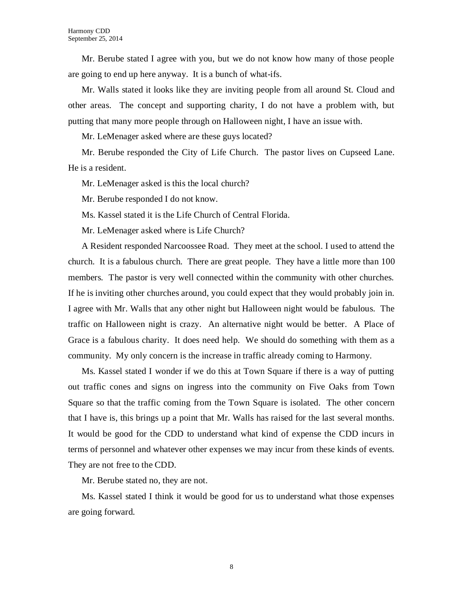Mr. Berube stated I agree with you, but we do not know how many of those people are going to end up here anyway. It is a bunch of what-ifs.

Mr. Walls stated it looks like they are inviting people from all around St. Cloud and other areas. The concept and supporting charity, I do not have a problem with, but putting that many more people through on Halloween night, I have an issue with.

Mr. LeMenager asked where are these guys located?

Mr. Berube responded the City of Life Church. The pastor lives on Cupseed Lane. He is a resident.

Mr. LeMenager asked is this the local church?

Mr. Berube responded I do not know.

Ms. Kassel stated it is the Life Church of Central Florida.

Mr. LeMenager asked where is Life Church?

A Resident responded Narcoossee Road. They meet at the school. I used to attend the church. It is a fabulous church. There are great people. They have a little more than 100 members. The pastor is very well connected within the community with other churches. If he is inviting other churches around, you could expect that they would probably join in. I agree with Mr. Walls that any other night but Halloween night would be fabulous. The traffic on Halloween night is crazy. An alternative night would be better. A Place of Grace is a fabulous charity. It does need help. We should do something with them as a community. My only concern is the increase in traffic already coming to Harmony.

Ms. Kassel stated I wonder if we do this at Town Square if there is a way of putting out traffic cones and signs on ingress into the community on Five Oaks from Town Square so that the traffic coming from the Town Square is isolated. The other concern that I have is, this brings up a point that Mr. Walls has raised for the last several months. It would be good for the CDD to understand what kind of expense the CDD incurs in terms of personnel and whatever other expenses we may incur from these kinds of events. They are not free to the CDD.

Mr. Berube stated no, they are not.

Ms. Kassel stated I think it would be good for us to understand what those expenses are going forward.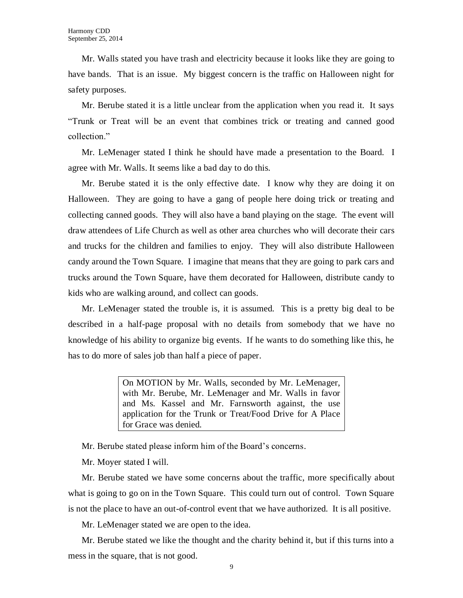Mr. Walls stated you have trash and electricity because it looks like they are going to have bands. That is an issue. My biggest concern is the traffic on Halloween night for safety purposes.

Mr. Berube stated it is a little unclear from the application when you read it. It says "Trunk or Treat will be an event that combines trick or treating and canned good collection."

Mr. LeMenager stated I think he should have made a presentation to the Board. I agree with Mr. Walls. It seems like a bad day to do this.

Mr. Berube stated it is the only effective date. I know why they are doing it on Halloween. They are going to have a gang of people here doing trick or treating and collecting canned goods. They will also have a band playing on the stage. The event will draw attendees of Life Church as well as other area churches who will decorate their cars and trucks for the children and families to enjoy. They will also distribute Halloween candy around the Town Square. I imagine that means that they are going to park cars and trucks around the Town Square, have them decorated for Halloween, distribute candy to kids who are walking around, and collect can goods.

Mr. LeMenager stated the trouble is, it is assumed. This is a pretty big deal to be described in a half-page proposal with no details from somebody that we have no knowledge of his ability to organize big events. If he wants to do something like this, he has to do more of sales job than half a piece of paper.

> On MOTION by Mr. Walls, seconded by Mr. LeMenager, with Mr. Berube, Mr. LeMenager and Mr. Walls in favor and Ms. Kassel and Mr. Farnsworth against, the use application for the Trunk or Treat/Food Drive for A Place for Grace was denied.

Mr. Berube stated please inform him of the Board's concerns.

Mr. Moyer stated I will.

Mr. Berube stated we have some concerns about the traffic, more specifically about what is going to go on in the Town Square. This could turn out of control. Town Square is not the place to have an out-of-control event that we have authorized. It is all positive.

Mr. LeMenager stated we are open to the idea.

Mr. Berube stated we like the thought and the charity behind it, but if this turns into a mess in the square, that is not good.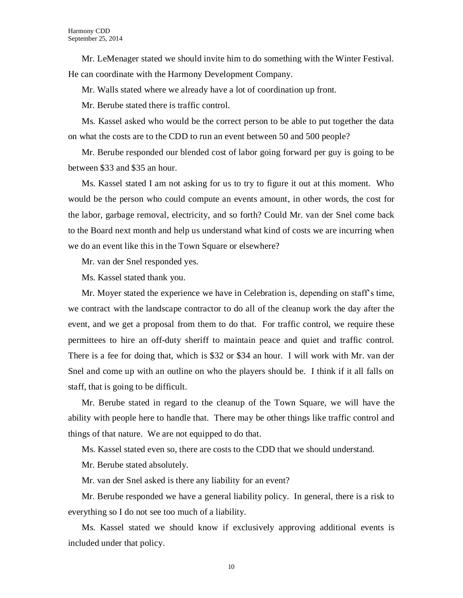Mr. LeMenager stated we should invite him to do something with the Winter Festival. He can coordinate with the Harmony Development Company.

Mr. Walls stated where we already have a lot of coordination up front.

Mr. Berube stated there is traffic control.

Ms. Kassel asked who would be the correct person to be able to put together the data on what the costs are to the CDD to run an event between 50 and 500 people?

Mr. Berube responded our blended cost of labor going forward per guy is going to be between \$33 and \$35 an hour.

Ms. Kassel stated I am not asking for us to try to figure it out at this moment. Who would be the person who could compute an events amount, in other words, the cost for the labor, garbage removal, electricity, and so forth? Could Mr. van der Snel come back to the Board next month and help us understand what kind of costs we are incurring when we do an event like this in the Town Square or elsewhere?

Mr. van der Snel responded yes.

Ms. Kassel stated thank you.

Mr. Moyer stated the experience we have in Celebration is, depending on staff's time, we contract with the landscape contractor to do all of the cleanup work the day after the event, and we get a proposal from them to do that. For traffic control, we require these permittees to hire an off-duty sheriff to maintain peace and quiet and traffic control. There is a fee for doing that, which is \$32 or \$34 an hour. I will work with Mr. van der Snel and come up with an outline on who the players should be. I think if it all falls on staff, that is going to be difficult.

Mr. Berube stated in regard to the cleanup of the Town Square, we will have the ability with people here to handle that. There may be other things like traffic control and things of that nature. We are not equipped to do that.

Ms. Kassel stated even so, there are costs to the CDD that we should understand.

Mr. Berube stated absolutely.

Mr. van der Snel asked is there any liability for an event?

Mr. Berube responded we have a general liability policy. In general, there is a risk to everything so I do not see too much of a liability.

Ms. Kassel stated we should know if exclusively approving additional events is included under that policy.

10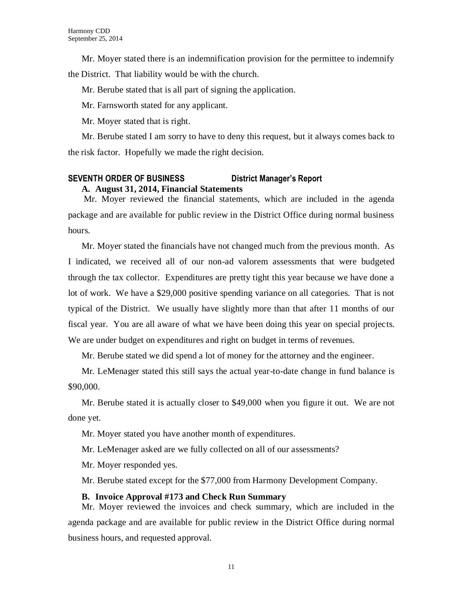Mr. Moyer stated there is an indemnification provision for the permittee to indemnify

the District. That liability would be with the church.

Mr. Berube stated that is all part of signing the application.

Mr. Farnsworth stated for any applicant.

Mr. Moyer stated that is right.

Mr. Berube stated I am sorry to have to deny this request, but it always comes back to the risk factor. Hopefully we made the right decision.

# **SEVENTH ORDER OF BUSINESS District Manager's Report A. August 31, 2014, Financial Statements**

Mr. Moyer reviewed the financial statements, which are included in the agenda package and are available for public review in the District Office during normal business hours.

Mr. Moyer stated the financials have not changed much from the previous month. As I indicated, we received all of our non-ad valorem assessments that were budgeted through the tax collector. Expenditures are pretty tight this year because we have done a lot of work. We have a \$29,000 positive spending variance on all categories. That is not typical of the District. We usually have slightly more than that after 11 months of our fiscal year. You are all aware of what we have been doing this year on special projects. We are under budget on expenditures and right on budget in terms of revenues.

Mr. Berube stated we did spend a lot of money for the attorney and the engineer.

Mr. LeMenager stated this still says the actual year-to-date change in fund balance is \$90,000.

Mr. Berube stated it is actually closer to \$49,000 when you figure it out. We are not done yet.

Mr. Moyer stated you have another month of expenditures.

Mr. LeMenager asked are we fully collected on all of our assessments?

Mr. Moyer responded yes.

Mr. Berube stated except for the \$77,000 from Harmony Development Company.

# **B. Invoice Approval #173 and Check Run Summary**

Mr. Moyer reviewed the invoices and check summary, which are included in the agenda package and are available for public review in the District Office during normal business hours, and requested approval.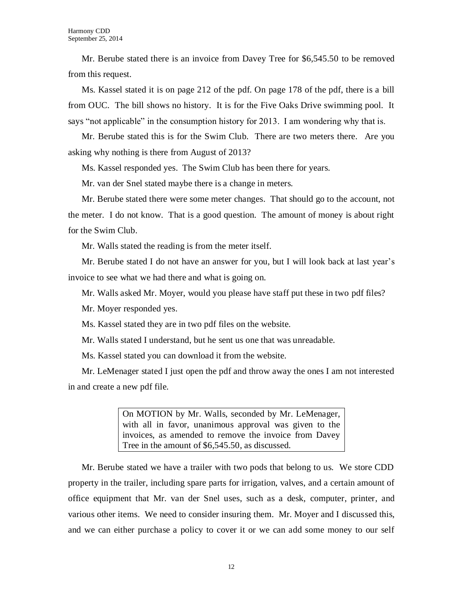Mr. Berube stated there is an invoice from Davey Tree for \$6,545.50 to be removed from this request.

Ms. Kassel stated it is on page 212 of the pdf. On page 178 of the pdf, there is a bill from OUC. The bill shows no history. It is for the Five Oaks Drive swimming pool. It says "not applicable" in the consumption history for 2013. I am wondering why that is.

Mr. Berube stated this is for the Swim Club. There are two meters there. Are you asking why nothing is there from August of 2013?

Ms. Kassel responded yes. The Swim Club has been there for years.

Mr. van der Snel stated maybe there is a change in meters.

Mr. Berube stated there were some meter changes. That should go to the account, not the meter. I do not know. That is a good question. The amount of money is about right for the Swim Club.

Mr. Walls stated the reading is from the meter itself.

Mr. Berube stated I do not have an answer for you, but I will look back at last year's invoice to see what we had there and what is going on.

Mr. Walls asked Mr. Moyer, would you please have staff put these in two pdf files?

Mr. Moyer responded yes.

Ms. Kassel stated they are in two pdf files on the website.

Mr. Walls stated I understand, but he sent us one that was unreadable.

Ms. Kassel stated you can download it from the website.

Mr. LeMenager stated I just open the pdf and throw away the ones I am not interested in and create a new pdf file.

> On MOTION by Mr. Walls, seconded by Mr. LeMenager, with all in favor, unanimous approval was given to the invoices, as amended to remove the invoice from Davey Tree in the amount of \$6,545.50, as discussed.

Mr. Berube stated we have a trailer with two pods that belong to us. We store CDD property in the trailer, including spare parts for irrigation, valves, and a certain amount of office equipment that Mr. van der Snel uses, such as a desk, computer, printer, and various other items. We need to consider insuring them. Mr. Moyer and I discussed this, and we can either purchase a policy to cover it or we can add some money to our self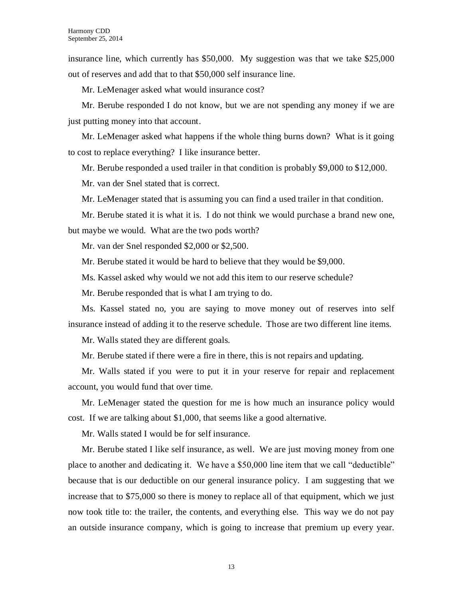insurance line, which currently has \$50,000. My suggestion was that we take \$25,000 out of reserves and add that to that \$50,000 self insurance line.

Mr. LeMenager asked what would insurance cost?

Mr. Berube responded I do not know, but we are not spending any money if we are just putting money into that account.

Mr. LeMenager asked what happens if the whole thing burns down? What is it going to cost to replace everything? I like insurance better.

Mr. Berube responded a used trailer in that condition is probably \$9,000 to \$12,000.

Mr. van der Snel stated that is correct.

Mr. LeMenager stated that is assuming you can find a used trailer in that condition.

Mr. Berube stated it is what it is. I do not think we would purchase a brand new one, but maybe we would. What are the two pods worth?

Mr. van der Snel responded \$2,000 or \$2,500.

Mr. Berube stated it would be hard to believe that they would be \$9,000.

Ms. Kassel asked why would we not add this item to our reserve schedule?

Mr. Berube responded that is what I am trying to do.

Ms. Kassel stated no, you are saying to move money out of reserves into self insurance instead of adding it to the reserve schedule. Those are two different line items.

Mr. Walls stated they are different goals.

Mr. Berube stated if there were a fire in there, this is not repairs and updating.

Mr. Walls stated if you were to put it in your reserve for repair and replacement account, you would fund that over time.

Mr. LeMenager stated the question for me is how much an insurance policy would cost. If we are talking about \$1,000, that seems like a good alternative.

Mr. Walls stated I would be for self insurance.

Mr. Berube stated I like self insurance, as well. We are just moving money from one place to another and dedicating it. We have a \$50,000 line item that we call "deductible" because that is our deductible on our general insurance policy. I am suggesting that we increase that to \$75,000 so there is money to replace all of that equipment, which we just now took title to: the trailer, the contents, and everything else. This way we do not pay an outside insurance company, which is going to increase that premium up every year.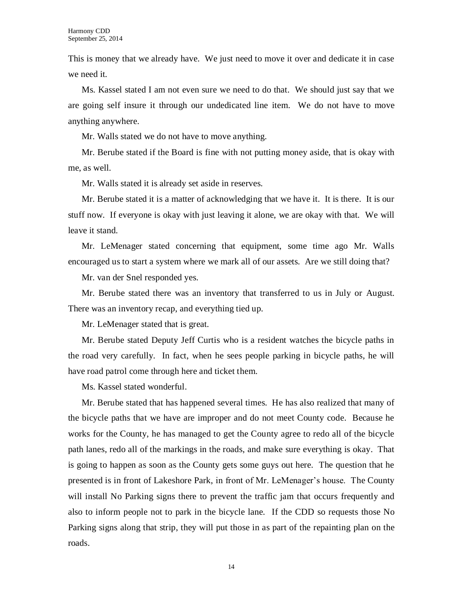This is money that we already have. We just need to move it over and dedicate it in case we need it.

Ms. Kassel stated I am not even sure we need to do that. We should just say that we are going self insure it through our undedicated line item. We do not have to move anything anywhere.

Mr. Walls stated we do not have to move anything.

Mr. Berube stated if the Board is fine with not putting money aside, that is okay with me, as well.

Mr. Walls stated it is already set aside in reserves.

Mr. Berube stated it is a matter of acknowledging that we have it. It is there. It is our stuff now. If everyone is okay with just leaving it alone, we are okay with that. We will leave it stand.

Mr. LeMenager stated concerning that equipment, some time ago Mr. Walls encouraged us to start a system where we mark all of our assets. Are we still doing that?

Mr. van der Snel responded yes.

Mr. Berube stated there was an inventory that transferred to us in July or August. There was an inventory recap, and everything tied up.

Mr. LeMenager stated that is great.

Mr. Berube stated Deputy Jeff Curtis who is a resident watches the bicycle paths in the road very carefully. In fact, when he sees people parking in bicycle paths, he will have road patrol come through here and ticket them.

Ms. Kassel stated wonderful.

Mr. Berube stated that has happened several times. He has also realized that many of the bicycle paths that we have are improper and do not meet County code. Because he works for the County, he has managed to get the County agree to redo all of the bicycle path lanes, redo all of the markings in the roads, and make sure everything is okay. That is going to happen as soon as the County gets some guys out here. The question that he presented is in front of Lakeshore Park, in front of Mr. LeMenager's house. The County will install No Parking signs there to prevent the traffic jam that occurs frequently and also to inform people not to park in the bicycle lane. If the CDD so requests those No Parking signs along that strip, they will put those in as part of the repainting plan on the roads.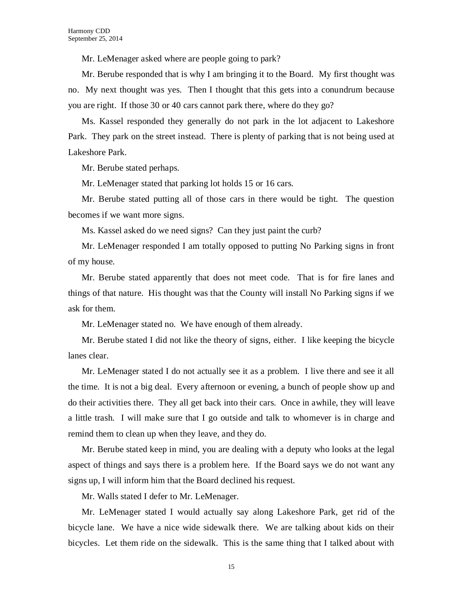Mr. LeMenager asked where are people going to park?

Mr. Berube responded that is why I am bringing it to the Board. My first thought was no. My next thought was yes. Then I thought that this gets into a conundrum because you are right. If those 30 or 40 cars cannot park there, where do they go?

Ms. Kassel responded they generally do not park in the lot adjacent to Lakeshore Park. They park on the street instead. There is plenty of parking that is not being used at Lakeshore Park.

Mr. Berube stated perhaps.

Mr. LeMenager stated that parking lot holds 15 or 16 cars.

Mr. Berube stated putting all of those cars in there would be tight. The question becomes if we want more signs.

Ms. Kassel asked do we need signs? Can they just paint the curb?

Mr. LeMenager responded I am totally opposed to putting No Parking signs in front of my house.

Mr. Berube stated apparently that does not meet code. That is for fire lanes and things of that nature. His thought was that the County will install No Parking signs if we ask for them.

Mr. LeMenager stated no. We have enough of them already.

Mr. Berube stated I did not like the theory of signs, either. I like keeping the bicycle lanes clear.

Mr. LeMenager stated I do not actually see it as a problem. I live there and see it all the time. It is not a big deal. Every afternoon or evening, a bunch of people show up and do their activities there. They all get back into their cars. Once in awhile, they will leave a little trash. I will make sure that I go outside and talk to whomever is in charge and remind them to clean up when they leave, and they do.

Mr. Berube stated keep in mind, you are dealing with a deputy who looks at the legal aspect of things and says there is a problem here. If the Board says we do not want any signs up, I will inform him that the Board declined his request.

Mr. Walls stated I defer to Mr. LeMenager.

Mr. LeMenager stated I would actually say along Lakeshore Park, get rid of the bicycle lane. We have a nice wide sidewalk there. We are talking about kids on their bicycles. Let them ride on the sidewalk. This is the same thing that I talked about with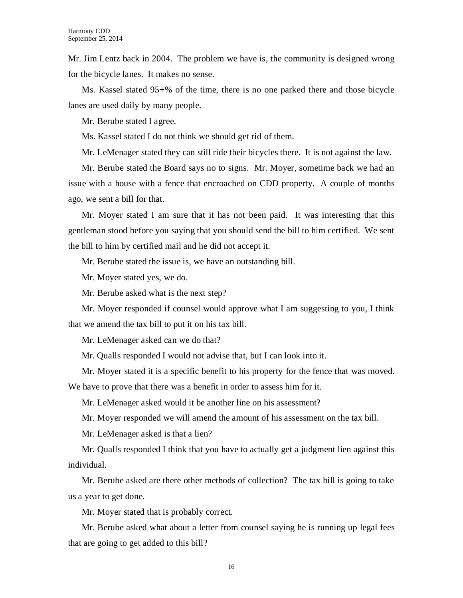Mr. Jim Lentz back in 2004. The problem we have is, the community is designed wrong for the bicycle lanes. It makes no sense.

Ms. Kassel stated 95+% of the time, there is no one parked there and those bicycle lanes are used daily by many people.

Mr. Berube stated I agree.

Ms. Kassel stated I do not think we should get rid of them.

Mr. LeMenager stated they can still ride their bicycles there. It is not against the law.

Mr. Berube stated the Board says no to signs. Mr. Moyer, sometime back we had an issue with a house with a fence that encroached on CDD property. A couple of months ago, we sent a bill for that.

Mr. Moyer stated I am sure that it has not been paid. It was interesting that this gentleman stood before you saying that you should send the bill to him certified. We sent the bill to him by certified mail and he did not accept it.

Mr. Berube stated the issue is, we have an outstanding bill.

Mr. Moyer stated yes, we do.

Mr. Berube asked what is the next step?

Mr. Moyer responded if counsel would approve what I am suggesting to you, I think that we amend the tax bill to put it on his tax bill.

Mr. LeMenager asked can we do that?

Mr. Qualls responded I would not advise that, but I can look into it.

Mr. Moyer stated it is a specific benefit to his property for the fence that was moved. We have to prove that there was a benefit in order to assess him for it.

Mr. LeMenager asked would it be another line on his assessment?

Mr. Moyer responded we will amend the amount of his assessment on the tax bill.

Mr. LeMenager asked is that a lien?

Mr. Qualls responded I think that you have to actually get a judgment lien against this individual.

Mr. Berube asked are there other methods of collection? The tax bill is going to take us a year to get done.

Mr. Moyer stated that is probably correct.

Mr. Berube asked what about a letter from counsel saying he is running up legal fees that are going to get added to this bill?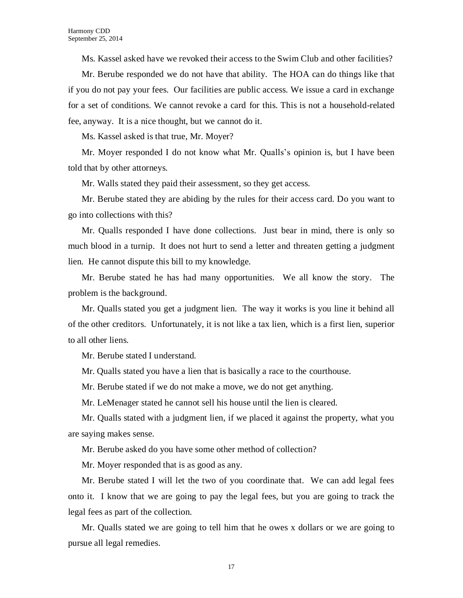Ms. Kassel asked have we revoked their access to the Swim Club and other facilities?

Mr. Berube responded we do not have that ability. The HOA can do things like that if you do not pay your fees. Our facilities are public access. We issue a card in exchange for a set of conditions. We cannot revoke a card for this. This is not a household-related fee, anyway. It is a nice thought, but we cannot do it.

Ms. Kassel asked is that true, Mr. Moyer?

Mr. Moyer responded I do not know what Mr. Qualls's opinion is, but I have been told that by other attorneys.

Mr. Walls stated they paid their assessment, so they get access.

Mr. Berube stated they are abiding by the rules for their access card. Do you want to go into collections with this?

Mr. Qualls responded I have done collections. Just bear in mind, there is only so much blood in a turnip. It does not hurt to send a letter and threaten getting a judgment lien. He cannot dispute this bill to my knowledge.

Mr. Berube stated he has had many opportunities. We all know the story. The problem is the background.

Mr. Qualls stated you get a judgment lien. The way it works is you line it behind all of the other creditors. Unfortunately, it is not like a tax lien, which is a first lien, superior to all other liens.

Mr. Berube stated I understand.

Mr. Qualls stated you have a lien that is basically a race to the courthouse.

Mr. Berube stated if we do not make a move, we do not get anything.

Mr. LeMenager stated he cannot sell his house until the lien is cleared.

Mr. Qualls stated with a judgment lien, if we placed it against the property, what you are saying makes sense.

Mr. Berube asked do you have some other method of collection?

Mr. Moyer responded that is as good as any.

Mr. Berube stated I will let the two of you coordinate that. We can add legal fees onto it. I know that we are going to pay the legal fees, but you are going to track the legal fees as part of the collection.

Mr. Qualls stated we are going to tell him that he owes x dollars or we are going to pursue all legal remedies.

17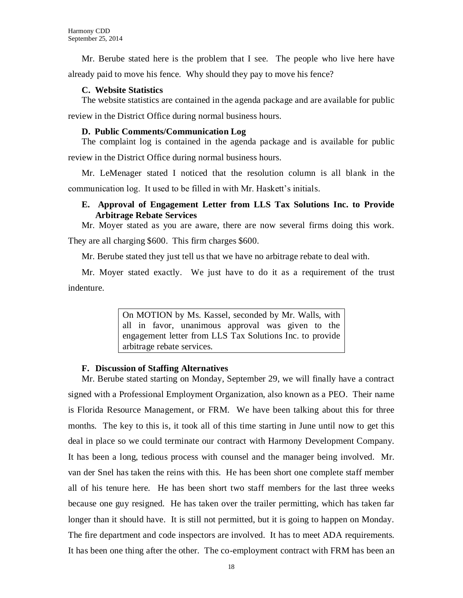Mr. Berube stated here is the problem that I see. The people who live here have already paid to move his fence. Why should they pay to move his fence?

#### **C. Website Statistics**

The website statistics are contained in the agenda package and are available for public review in the District Office during normal business hours.

#### **D. Public Comments/Communication Log**

The complaint log is contained in the agenda package and is available for public review in the District Office during normal business hours.

Mr. LeMenager stated I noticed that the resolution column is all blank in the communication log. It used to be filled in with Mr. Haskett's initials.

# **E. Approval of Engagement Letter from LLS Tax Solutions Inc. to Provide Arbitrage Rebate Services**

Mr. Moyer stated as you are aware, there are now several firms doing this work.

They are all charging \$600. This firm charges \$600.

Mr. Berube stated they just tell us that we have no arbitrage rebate to deal with.

Mr. Moyer stated exactly. We just have to do it as a requirement of the trust indenture.

> On MOTION by Ms. Kassel, seconded by Mr. Walls, with all in favor, unanimous approval was given to the engagement letter from LLS Tax Solutions Inc. to provide arbitrage rebate services.

# **F. Discussion of Staffing Alternatives**

Mr. Berube stated starting on Monday, September 29, we will finally have a contract signed with a Professional Employment Organization, also known as a PEO. Their name is Florida Resource Management, or FRM. We have been talking about this for three months. The key to this is, it took all of this time starting in June until now to get this deal in place so we could terminate our contract with Harmony Development Company. It has been a long, tedious process with counsel and the manager being involved. Mr. van der Snel has taken the reins with this. He has been short one complete staff member all of his tenure here. He has been short two staff members for the last three weeks because one guy resigned. He has taken over the trailer permitting, which has taken far longer than it should have. It is still not permitted, but it is going to happen on Monday. The fire department and code inspectors are involved. It has to meet ADA requirements. It has been one thing after the other. The co-employment contract with FRM has been an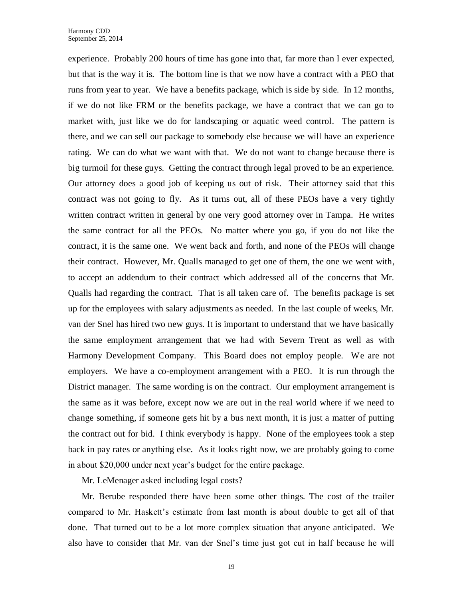experience. Probably 200 hours of time has gone into that, far more than I ever expected, but that is the way it is. The bottom line is that we now have a contract with a PEO that runs from year to year. We have a benefits package, which is side by side. In 12 months, if we do not like FRM or the benefits package, we have a contract that we can go to market with, just like we do for landscaping or aquatic weed control. The pattern is there, and we can sell our package to somebody else because we will have an experience rating. We can do what we want with that. We do not want to change because there is big turmoil for these guys. Getting the contract through legal proved to be an experience. Our attorney does a good job of keeping us out of risk. Their attorney said that this contract was not going to fly. As it turns out, all of these PEOs have a very tightly written contract written in general by one very good attorney over in Tampa. He writes the same contract for all the PEOs. No matter where you go, if you do not like the contract, it is the same one. We went back and forth, and none of the PEOs will change their contract. However, Mr. Qualls managed to get one of them, the one we went with, to accept an addendum to their contract which addressed all of the concerns that Mr. Qualls had regarding the contract. That is all taken care of. The benefits package is set up for the employees with salary adjustments as needed. In the last couple of weeks, Mr. van der Snel has hired two new guys. It is important to understand that we have basically the same employment arrangement that we had with Severn Trent as well as with Harmony Development Company. This Board does not employ people. We are not employers. We have a co-employment arrangement with a PEO. It is run through the District manager. The same wording is on the contract. Our employment arrangement is the same as it was before, except now we are out in the real world where if we need to change something, if someone gets hit by a bus next month, it is just a matter of putting the contract out for bid. I think everybody is happy. None of the employees took a step back in pay rates or anything else. As it looks right now, we are probably going to come in about \$20,000 under next year's budget for the entire package.

Mr. LeMenager asked including legal costs?

Mr. Berube responded there have been some other things. The cost of the trailer compared to Mr. Haskett's estimate from last month is about double to get all of that done. That turned out to be a lot more complex situation that anyone anticipated. We also have to consider that Mr. van der Snel's time just got cut in half because he will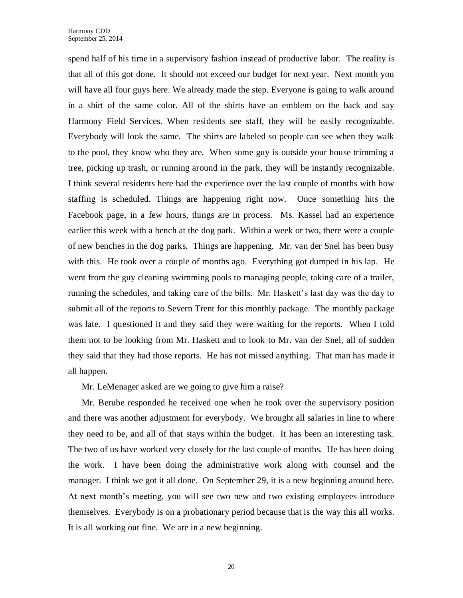spend half of his time in a supervisory fashion instead of productive labor. The reality is that all of this got done. It should not exceed our budget for next year. Next month you will have all four guys here. We already made the step. Everyone is going to walk around in a shirt of the same color. All of the shirts have an emblem on the back and say Harmony Field Services. When residents see staff, they will be easily recognizable. Everybody will look the same. The shirts are labeled so people can see when they walk to the pool, they know who they are. When some guy is outside your house trimming a tree, picking up trash, or running around in the park, they will be instantly recognizable. I think several residents here had the experience over the last couple of months with how staffing is scheduled. Things are happening right now. Once something hits the Facebook page, in a few hours, things are in process. Ms. Kassel had an experience earlier this week with a bench at the dog park. Within a week or two, there were a couple of new benches in the dog parks. Things are happening. Mr. van der Snel has been busy with this. He took over a couple of months ago. Everything got dumped in his lap. He went from the guy cleaning swimming pools to managing people, taking care of a trailer, running the schedules, and taking care of the bills. Mr. Haskett's last day was the day to submit all of the reports to Severn Trent for this monthly package. The monthly package was late. I questioned it and they said they were waiting for the reports. When I told them not to be looking from Mr. Haskett and to look to Mr. van der Snel, all of sudden they said that they had those reports. He has not missed anything. That man has made it all happen.

Mr. LeMenager asked are we going to give him a raise?

Mr. Berube responded he received one when he took over the supervisory position and there was another adjustment for everybody. We brought all salaries in line to where they need to be, and all of that stays within the budget. It has been an interesting task. The two of us have worked very closely for the last couple of months. He has been doing the work. I have been doing the administrative work along with counsel and the manager. I think we got it all done. On September 29, it is a new beginning around here. At next month's meeting, you will see two new and two existing employees introduce themselves. Everybody is on a probationary period because that is the way this all works. It is all working out fine. We are in a new beginning.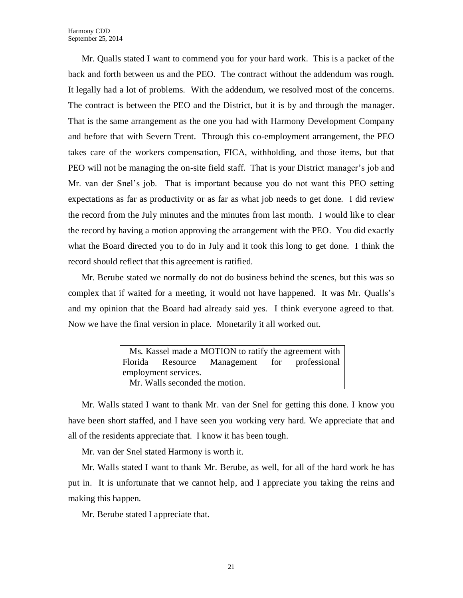Mr. Qualls stated I want to commend you for your hard work. This is a packet of the back and forth between us and the PEO. The contract without the addendum was rough. It legally had a lot of problems. With the addendum, we resolved most of the concerns. The contract is between the PEO and the District, but it is by and through the manager. That is the same arrangement as the one you had with Harmony Development Company and before that with Severn Trent. Through this co-employment arrangement, the PEO takes care of the workers compensation, FICA, withholding, and those items, but that PEO will not be managing the on-site field staff. That is your District manager's job and Mr. van der Snel's job. That is important because you do not want this PEO setting expectations as far as productivity or as far as what job needs to get done. I did review the record from the July minutes and the minutes from last month. I would like to clear the record by having a motion approving the arrangement with the PEO. You did exactly what the Board directed you to do in July and it took this long to get done. I think the record should reflect that this agreement is ratified.

Mr. Berube stated we normally do not do business behind the scenes, but this was so complex that if waited for a meeting, it would not have happened. It was Mr. Qualls's and my opinion that the Board had already said yes. I think everyone agreed to that. Now we have the final version in place. Monetarily it all worked out.

> Ms. Kassel made a MOTION to ratify the agreement with Florida Resource Management for professional employment services. Mr. Walls seconded the motion.

Mr. Walls stated I want to thank Mr. van der Snel for getting this done. I know you have been short staffed, and I have seen you working very hard. We appreciate that and all of the residents appreciate that. I know it has been tough.

Mr. van der Snel stated Harmony is worth it.

Mr. Walls stated I want to thank Mr. Berube, as well, for all of the hard work he has put in. It is unfortunate that we cannot help, and I appreciate you taking the reins and making this happen.

Mr. Berube stated I appreciate that.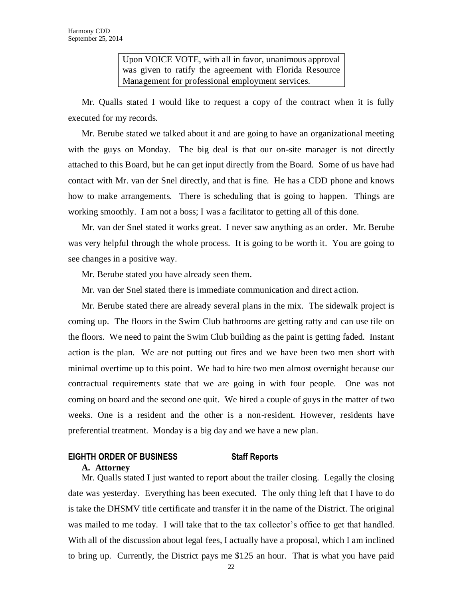Upon VOICE VOTE, with all in favor, unanimous approval was given to ratify the agreement with Florida Resource Management for professional employment services.

Mr. Qualls stated I would like to request a copy of the contract when it is fully executed for my records.

Mr. Berube stated we talked about it and are going to have an organizational meeting with the guys on Monday. The big deal is that our on-site manager is not directly attached to this Board, but he can get input directly from the Board. Some of us have had contact with Mr. van der Snel directly, and that is fine. He has a CDD phone and knows how to make arrangements. There is scheduling that is going to happen. Things are working smoothly. I am not a boss; I was a facilitator to getting all of this done.

Mr. van der Snel stated it works great. I never saw anything as an order. Mr. Berube was very helpful through the whole process. It is going to be worth it. You are going to see changes in a positive way.

Mr. Berube stated you have already seen them.

Mr. van der Snel stated there is immediate communication and direct action.

Mr. Berube stated there are already several plans in the mix. The sidewalk project is coming up. The floors in the Swim Club bathrooms are getting ratty and can use tile on the floors. We need to paint the Swim Club building as the paint is getting faded. Instant action is the plan. We are not putting out fires and we have been two men short with minimal overtime up to this point. We had to hire two men almost overnight because our contractual requirements state that we are going in with four people. One was not coming on board and the second one quit. We hired a couple of guys in the matter of two weeks. One is a resident and the other is a non-resident. However, residents have preferential treatment. Monday is a big day and we have a new plan.

# **EIGHTH ORDER OF BUSINESS Staff Reports**

#### **A. Attorney**

Mr. Qualls stated I just wanted to report about the trailer closing. Legally the closing date was yesterday. Everything has been executed. The only thing left that I have to do is take the DHSMV title certificate and transfer it in the name of the District. The original was mailed to me today. I will take that to the tax collector's office to get that handled. With all of the discussion about legal fees, I actually have a proposal, which I am inclined to bring up. Currently, the District pays me \$125 an hour. That is what you have paid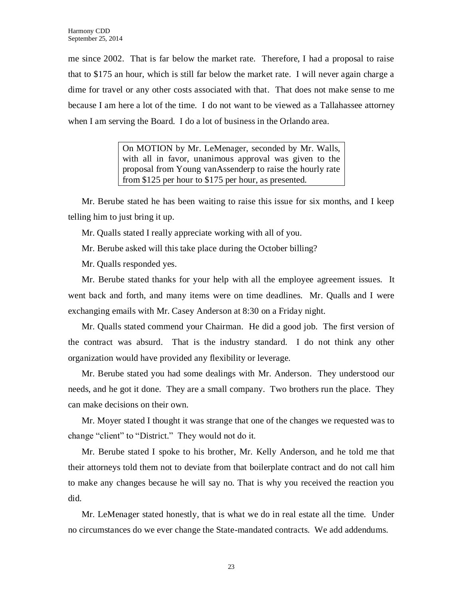me since 2002. That is far below the market rate. Therefore, I had a proposal to raise that to \$175 an hour, which is still far below the market rate. I will never again charge a dime for travel or any other costs associated with that. That does not make sense to me because I am here a lot of the time. I do not want to be viewed as a Tallahassee attorney when I am serving the Board. I do a lot of business in the Orlando area.

> On MOTION by Mr. LeMenager, seconded by Mr. Walls, with all in favor, unanimous approval was given to the proposal from Young vanAssenderp to raise the hourly rate from \$125 per hour to \$175 per hour, as presented.

Mr. Berube stated he has been waiting to raise this issue for six months, and I keep telling him to just bring it up.

Mr. Qualls stated I really appreciate working with all of you.

Mr. Berube asked will this take place during the October billing?

Mr. Qualls responded yes.

Mr. Berube stated thanks for your help with all the employee agreement issues. It went back and forth, and many items were on time deadlines. Mr. Qualls and I were exchanging emails with Mr. Casey Anderson at 8:30 on a Friday night.

Mr. Qualls stated commend your Chairman. He did a good job. The first version of the contract was absurd. That is the industry standard. I do not think any other organization would have provided any flexibility or leverage.

Mr. Berube stated you had some dealings with Mr. Anderson. They understood our needs, and he got it done. They are a small company. Two brothers run the place. They can make decisions on their own.

Mr. Moyer stated I thought it was strange that one of the changes we requested was to change "client" to "District." They would not do it.

Mr. Berube stated I spoke to his brother, Mr. Kelly Anderson, and he told me that their attorneys told them not to deviate from that boilerplate contract and do not call him to make any changes because he will say no. That is why you received the reaction you did.

Mr. LeMenager stated honestly, that is what we do in real estate all the time. Under no circumstances do we ever change the State-mandated contracts. We add addendums.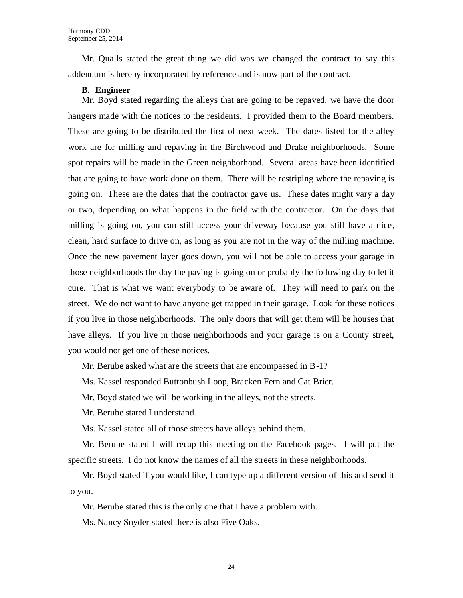Mr. Qualls stated the great thing we did was we changed the contract to say this addendum is hereby incorporated by reference and is now part of the contract.

#### **B. Engineer**

Mr. Boyd stated regarding the alleys that are going to be repaved, we have the door hangers made with the notices to the residents. I provided them to the Board members. These are going to be distributed the first of next week. The dates listed for the alley work are for milling and repaving in the Birchwood and Drake neighborhoods. Some spot repairs will be made in the Green neighborhood. Several areas have been identified that are going to have work done on them. There will be restriping where the repaving is going on. These are the dates that the contractor gave us. These dates might vary a day or two, depending on what happens in the field with the contractor. On the days that milling is going on, you can still access your driveway because you still have a nice, clean, hard surface to drive on, as long as you are not in the way of the milling machine. Once the new pavement layer goes down, you will not be able to access your garage in those neighborhoods the day the paving is going on or probably the following day to let it cure. That is what we want everybody to be aware of. They will need to park on the street. We do not want to have anyone get trapped in their garage. Look for these notices if you live in those neighborhoods. The only doors that will get them will be houses that have alleys. If you live in those neighborhoods and your garage is on a County street, you would not get one of these notices.

Mr. Berube asked what are the streets that are encompassed in B-1?

Ms. Kassel responded Buttonbush Loop, Bracken Fern and Cat Brier.

Mr. Boyd stated we will be working in the alleys, not the streets.

Mr. Berube stated I understand.

Ms. Kassel stated all of those streets have alleys behind them.

Mr. Berube stated I will recap this meeting on the Facebook pages. I will put the specific streets. I do not know the names of all the streets in these neighborhoods.

Mr. Boyd stated if you would like, I can type up a different version of this and send it to you.

Mr. Berube stated this is the only one that I have a problem with.

Ms. Nancy Snyder stated there is also Five Oaks.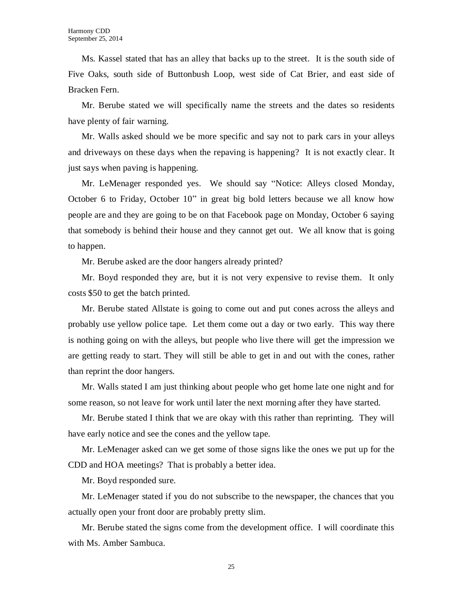Ms. Kassel stated that has an alley that backs up to the street. It is the south side of Five Oaks, south side of Buttonbush Loop, west side of Cat Brier, and east side of Bracken Fern.

Mr. Berube stated we will specifically name the streets and the dates so residents have plenty of fair warning.

Mr. Walls asked should we be more specific and say not to park cars in your alleys and driveways on these days when the repaving is happening? It is not exactly clear. It just says when paving is happening.

Mr. LeMenager responded yes. We should say "Notice: Alleys closed Monday, October 6 to Friday, October 10" in great big bold letters because we all know how people are and they are going to be on that Facebook page on Monday, October 6 saying that somebody is behind their house and they cannot get out. We all know that is going to happen.

Mr. Berube asked are the door hangers already printed?

Mr. Boyd responded they are, but it is not very expensive to revise them. It only costs \$50 to get the batch printed.

Mr. Berube stated Allstate is going to come out and put cones across the alleys and probably use yellow police tape. Let them come out a day or two early. This way there is nothing going on with the alleys, but people who live there will get the impression we are getting ready to start. They will still be able to get in and out with the cones, rather than reprint the door hangers.

Mr. Walls stated I am just thinking about people who get home late one night and for some reason, so not leave for work until later the next morning after they have started.

Mr. Berube stated I think that we are okay with this rather than reprinting. They will have early notice and see the cones and the yellow tape.

Mr. LeMenager asked can we get some of those signs like the ones we put up for the CDD and HOA meetings? That is probably a better idea.

Mr. Boyd responded sure.

Mr. LeMenager stated if you do not subscribe to the newspaper, the chances that you actually open your front door are probably pretty slim.

Mr. Berube stated the signs come from the development office. I will coordinate this with Ms. Amber Sambuca.

25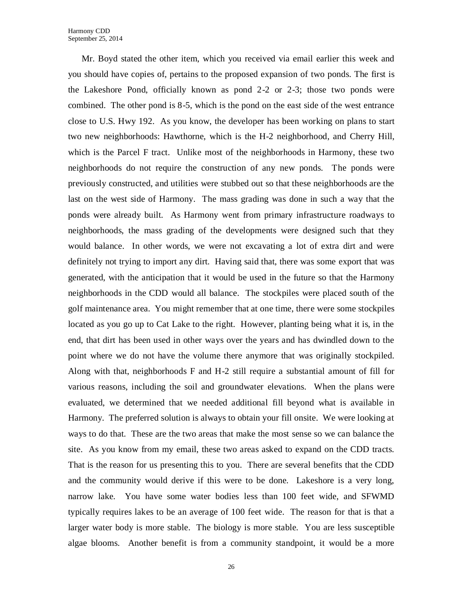Mr. Boyd stated the other item, which you received via email earlier this week and you should have copies of, pertains to the proposed expansion of two ponds. The first is the Lakeshore Pond, officially known as pond 2-2 or 2-3; those two ponds were combined. The other pond is 8-5, which is the pond on the east side of the west entrance close to U.S. Hwy 192. As you know, the developer has been working on plans to start two new neighborhoods: Hawthorne, which is the H-2 neighborhood, and Cherry Hill, which is the Parcel F tract. Unlike most of the neighborhoods in Harmony, these two neighborhoods do not require the construction of any new ponds. The ponds were previously constructed, and utilities were stubbed out so that these neighborhoods are the last on the west side of Harmony. The mass grading was done in such a way that the ponds were already built. As Harmony went from primary infrastructure roadways to neighborhoods, the mass grading of the developments were designed such that they would balance. In other words, we were not excavating a lot of extra dirt and were definitely not trying to import any dirt. Having said that, there was some export that was generated, with the anticipation that it would be used in the future so that the Harmony neighborhoods in the CDD would all balance. The stockpiles were placed south of the golf maintenance area. You might remember that at one time, there were some stockpiles located as you go up to Cat Lake to the right. However, planting being what it is, in the end, that dirt has been used in other ways over the years and has dwindled down to the point where we do not have the volume there anymore that was originally stockpiled. Along with that, neighborhoods F and H-2 still require a substantial amount of fill for various reasons, including the soil and groundwater elevations. When the plans were evaluated, we determined that we needed additional fill beyond what is available in Harmony. The preferred solution is always to obtain your fill onsite. We were looking at ways to do that. These are the two areas that make the most sense so we can balance the site. As you know from my email, these two areas asked to expand on the CDD tracts. That is the reason for us presenting this to you. There are several benefits that the CDD and the community would derive if this were to be done. Lakeshore is a very long, narrow lake. You have some water bodies less than 100 feet wide, and SFWMD typically requires lakes to be an average of 100 feet wide. The reason for that is that a larger water body is more stable. The biology is more stable. You are less susceptible algae blooms. Another benefit is from a community standpoint, it would be a more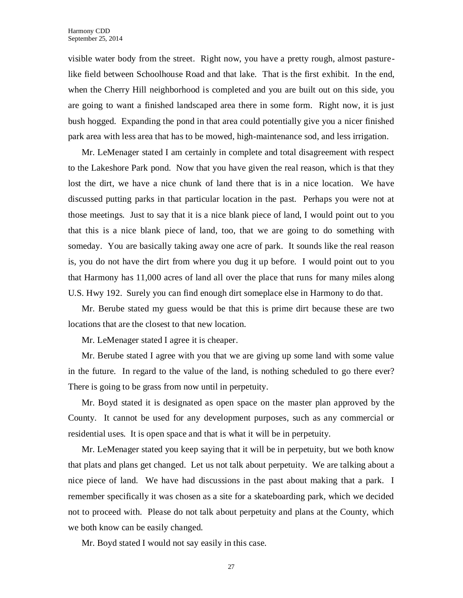visible water body from the street. Right now, you have a pretty rough, almost pasturelike field between Schoolhouse Road and that lake. That is the first exhibit. In the end, when the Cherry Hill neighborhood is completed and you are built out on this side, you are going to want a finished landscaped area there in some form. Right now, it is just bush hogged. Expanding the pond in that area could potentially give you a nicer finished park area with less area that has to be mowed, high-maintenance sod, and less irrigation.

Mr. LeMenager stated I am certainly in complete and total disagreement with respect to the Lakeshore Park pond. Now that you have given the real reason, which is that they lost the dirt, we have a nice chunk of land there that is in a nice location. We have discussed putting parks in that particular location in the past. Perhaps you were not at those meetings. Just to say that it is a nice blank piece of land, I would point out to you that this is a nice blank piece of land, too, that we are going to do something with someday. You are basically taking away one acre of park. It sounds like the real reason is, you do not have the dirt from where you dug it up before. I would point out to you that Harmony has 11,000 acres of land all over the place that runs for many miles along U.S. Hwy 192. Surely you can find enough dirt someplace else in Harmony to do that.

Mr. Berube stated my guess would be that this is prime dirt because these are two locations that are the closest to that new location.

Mr. LeMenager stated I agree it is cheaper.

Mr. Berube stated I agree with you that we are giving up some land with some value in the future. In regard to the value of the land, is nothing scheduled to go there ever? There is going to be grass from now until in perpetuity.

Mr. Boyd stated it is designated as open space on the master plan approved by the County. It cannot be used for any development purposes, such as any commercial or residential uses. It is open space and that is what it will be in perpetuity.

Mr. LeMenager stated you keep saying that it will be in perpetuity, but we both know that plats and plans get changed. Let us not talk about perpetuity. We are talking about a nice piece of land. We have had discussions in the past about making that a park. I remember specifically it was chosen as a site for a skateboarding park, which we decided not to proceed with. Please do not talk about perpetuity and plans at the County, which we both know can be easily changed.

Mr. Boyd stated I would not say easily in this case.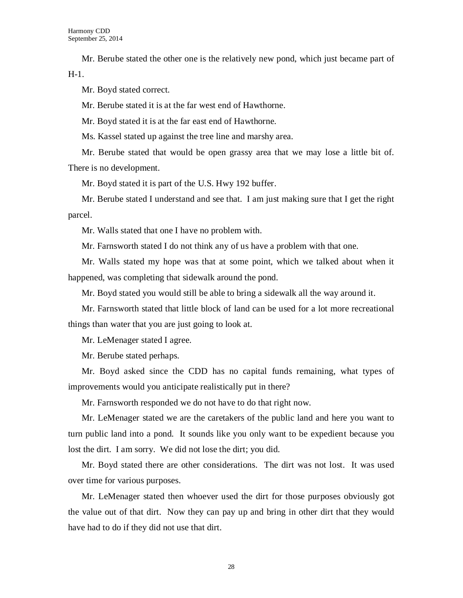Mr. Berube stated the other one is the relatively new pond, which just became part of H-1.

Mr. Boyd stated correct.

Mr. Berube stated it is at the far west end of Hawthorne.

Mr. Boyd stated it is at the far east end of Hawthorne.

Ms. Kassel stated up against the tree line and marshy area.

Mr. Berube stated that would be open grassy area that we may lose a little bit of. There is no development.

Mr. Boyd stated it is part of the U.S. Hwy 192 buffer.

Mr. Berube stated I understand and see that. I am just making sure that I get the right parcel.

Mr. Walls stated that one I have no problem with.

Mr. Farnsworth stated I do not think any of us have a problem with that one.

Mr. Walls stated my hope was that at some point, which we talked about when it happened, was completing that sidewalk around the pond.

Mr. Boyd stated you would still be able to bring a sidewalk all the way around it.

Mr. Farnsworth stated that little block of land can be used for a lot more recreational things than water that you are just going to look at.

Mr. LeMenager stated I agree.

Mr. Berube stated perhaps.

Mr. Boyd asked since the CDD has no capital funds remaining, what types of improvements would you anticipate realistically put in there?

Mr. Farnsworth responded we do not have to do that right now.

Mr. LeMenager stated we are the caretakers of the public land and here you want to turn public land into a pond. It sounds like you only want to be expedient because you lost the dirt. I am sorry. We did not lose the dirt; you did.

Mr. Boyd stated there are other considerations. The dirt was not lost. It was used over time for various purposes.

Mr. LeMenager stated then whoever used the dirt for those purposes obviously got the value out of that dirt. Now they can pay up and bring in other dirt that they would have had to do if they did not use that dirt.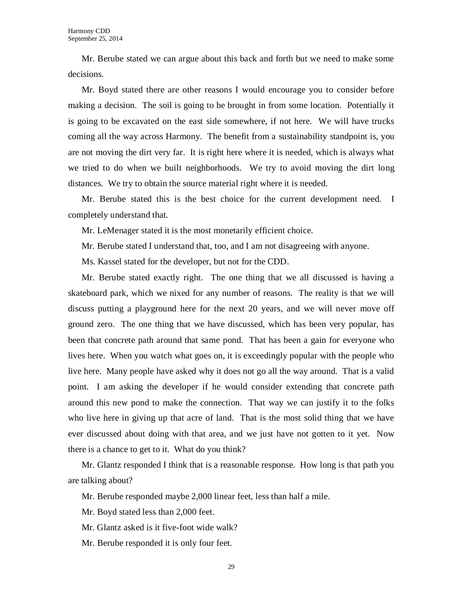Mr. Berube stated we can argue about this back and forth but we need to make some decisions.

Mr. Boyd stated there are other reasons I would encourage you to consider before making a decision. The soil is going to be brought in from some location. Potentially it is going to be excavated on the east side somewhere, if not here. We will have trucks coming all the way across Harmony. The benefit from a sustainability standpoint is, you are not moving the dirt very far. It is right here where it is needed, which is always what we tried to do when we built neighborhoods. We try to avoid moving the dirt long distances. We try to obtain the source material right where it is needed.

Mr. Berube stated this is the best choice for the current development need. I completely understand that.

Mr. LeMenager stated it is the most monetarily efficient choice.

Mr. Berube stated I understand that, too, and I am not disagreeing with anyone.

Ms. Kassel stated for the developer, but not for the CDD.

Mr. Berube stated exactly right. The one thing that we all discussed is having a skateboard park, which we nixed for any number of reasons. The reality is that we will discuss putting a playground here for the next 20 years, and we will never move off ground zero. The one thing that we have discussed, which has been very popular, has been that concrete path around that same pond. That has been a gain for everyone who lives here. When you watch what goes on, it is exceedingly popular with the people who live here. Many people have asked why it does not go all the way around. That is a valid point. I am asking the developer if he would consider extending that concrete path around this new pond to make the connection. That way we can justify it to the folks who live here in giving up that acre of land. That is the most solid thing that we have ever discussed about doing with that area, and we just have not gotten to it yet. Now there is a chance to get to it. What do you think?

Mr. Glantz responded I think that is a reasonable response. How long is that path you are talking about?

Mr. Berube responded maybe 2,000 linear feet, less than half a mile.

Mr. Boyd stated less than 2,000 feet.

Mr. Glantz asked is it five-foot wide walk?

Mr. Berube responded it is only four feet.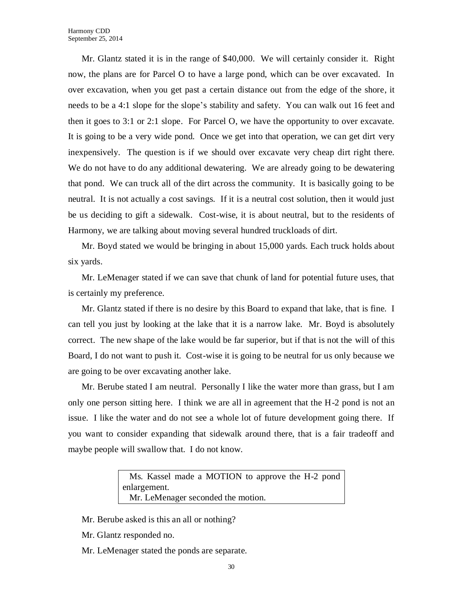Mr. Glantz stated it is in the range of \$40,000. We will certainly consider it. Right now, the plans are for Parcel O to have a large pond, which can be over excavated. In over excavation, when you get past a certain distance out from the edge of the shore, it needs to be a 4:1 slope for the slope's stability and safety. You can walk out 16 feet and then it goes to 3:1 or 2:1 slope. For Parcel O, we have the opportunity to over excavate. It is going to be a very wide pond. Once we get into that operation, we can get dirt very inexpensively. The question is if we should over excavate very cheap dirt right there. We do not have to do any additional dewatering. We are already going to be dewatering that pond. We can truck all of the dirt across the community. It is basically going to be neutral. It is not actually a cost savings. If it is a neutral cost solution, then it would just be us deciding to gift a sidewalk. Cost-wise, it is about neutral, but to the residents of Harmony, we are talking about moving several hundred truckloads of dirt.

Mr. Boyd stated we would be bringing in about 15,000 yards. Each truck holds about six yards.

Mr. LeMenager stated if we can save that chunk of land for potential future uses, that is certainly my preference.

Mr. Glantz stated if there is no desire by this Board to expand that lake, that is fine. I can tell you just by looking at the lake that it is a narrow lake. Mr. Boyd is absolutely correct. The new shape of the lake would be far superior, but if that is not the will of this Board, I do not want to push it. Cost-wise it is going to be neutral for us only because we are going to be over excavating another lake.

Mr. Berube stated I am neutral. Personally I like the water more than grass, but I am only one person sitting here. I think we are all in agreement that the H-2 pond is not an issue. I like the water and do not see a whole lot of future development going there. If you want to consider expanding that sidewalk around there, that is a fair tradeoff and maybe people will swallow that. I do not know.

> Ms. Kassel made a MOTION to approve the H-2 pond enlargement. Mr. LeMenager seconded the motion.

- Mr. Berube asked is this an all or nothing?
- Mr. Glantz responded no.
- Mr. LeMenager stated the ponds are separate.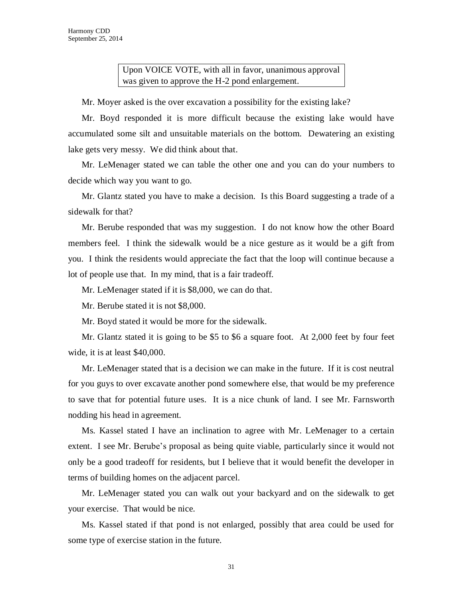Upon VOICE VOTE, with all in favor, unanimous approval was given to approve the H-2 pond enlargement.

Mr. Moyer asked is the over excavation a possibility for the existing lake?

Mr. Boyd responded it is more difficult because the existing lake would have accumulated some silt and unsuitable materials on the bottom. Dewatering an existing lake gets very messy. We did think about that.

Mr. LeMenager stated we can table the other one and you can do your numbers to decide which way you want to go.

Mr. Glantz stated you have to make a decision. Is this Board suggesting a trade of a sidewalk for that?

Mr. Berube responded that was my suggestion. I do not know how the other Board members feel. I think the sidewalk would be a nice gesture as it would be a gift from you. I think the residents would appreciate the fact that the loop will continue because a lot of people use that. In my mind, that is a fair tradeoff.

Mr. LeMenager stated if it is \$8,000, we can do that.

Mr. Berube stated it is not \$8,000.

Mr. Boyd stated it would be more for the sidewalk.

Mr. Glantz stated it is going to be \$5 to \$6 a square foot. At 2,000 feet by four feet wide, it is at least \$40,000.

Mr. LeMenager stated that is a decision we can make in the future. If it is cost neutral for you guys to over excavate another pond somewhere else, that would be my preference to save that for potential future uses. It is a nice chunk of land. I see Mr. Farnsworth nodding his head in agreement.

Ms. Kassel stated I have an inclination to agree with Mr. LeMenager to a certain extent. I see Mr. Berube's proposal as being quite viable, particularly since it would not only be a good tradeoff for residents, but I believe that it would benefit the developer in terms of building homes on the adjacent parcel.

Mr. LeMenager stated you can walk out your backyard and on the sidewalk to get your exercise. That would be nice.

Ms. Kassel stated if that pond is not enlarged, possibly that area could be used for some type of exercise station in the future.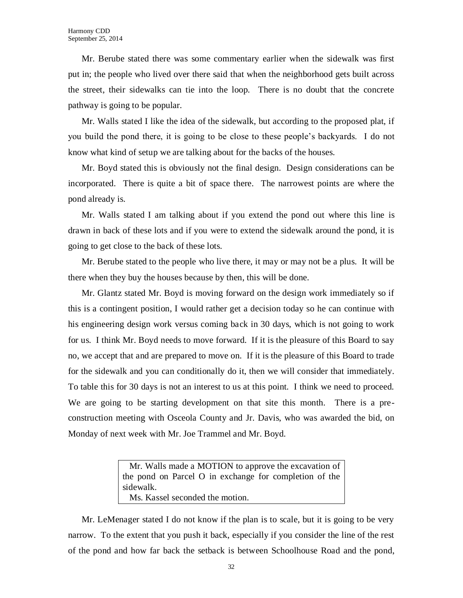Mr. Berube stated there was some commentary earlier when the sidewalk was first put in; the people who lived over there said that when the neighborhood gets built across the street, their sidewalks can tie into the loop. There is no doubt that the concrete pathway is going to be popular.

Mr. Walls stated I like the idea of the sidewalk, but according to the proposed plat, if you build the pond there, it is going to be close to these people's backyards. I do not know what kind of setup we are talking about for the backs of the houses.

Mr. Boyd stated this is obviously not the final design. Design considerations can be incorporated. There is quite a bit of space there. The narrowest points are where the pond already is.

Mr. Walls stated I am talking about if you extend the pond out where this line is drawn in back of these lots and if you were to extend the sidewalk around the pond, it is going to get close to the back of these lots.

Mr. Berube stated to the people who live there, it may or may not be a plus. It will be there when they buy the houses because by then, this will be done.

Mr. Glantz stated Mr. Boyd is moving forward on the design work immediately so if this is a contingent position, I would rather get a decision today so he can continue with his engineering design work versus coming back in 30 days, which is not going to work for us. I think Mr. Boyd needs to move forward. If it is the pleasure of this Board to say no, we accept that and are prepared to move on. If it is the pleasure of this Board to trade for the sidewalk and you can conditionally do it, then we will consider that immediately. To table this for 30 days is not an interest to us at this point. I think we need to proceed. We are going to be starting development on that site this month. There is a preconstruction meeting with Osceola County and Jr. Davis, who was awarded the bid, on Monday of next week with Mr. Joe Trammel and Mr. Boyd.

> Mr. Walls made a MOTION to approve the excavation of the pond on Parcel O in exchange for completion of the sidewalk. Ms. Kassel seconded the motion.

Mr. LeMenager stated I do not know if the plan is to scale, but it is going to be very narrow. To the extent that you push it back, especially if you consider the line of the rest of the pond and how far back the setback is between Schoolhouse Road and the pond,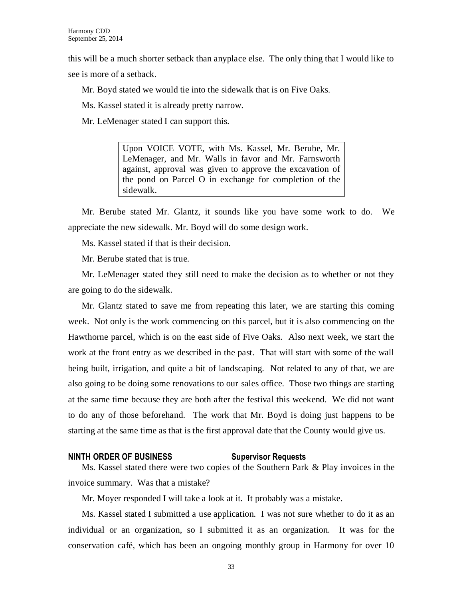this will be a much shorter setback than anyplace else. The only thing that I would like to see is more of a setback.

Mr. Boyd stated we would tie into the sidewalk that is on Five Oaks.

Ms. Kassel stated it is already pretty narrow.

Mr. LeMenager stated I can support this.

Upon VOICE VOTE, with Ms. Kassel, Mr. Berube, Mr. LeMenager, and Mr. Walls in favor and Mr. Farnsworth against, approval was given to approve the excavation of the pond on Parcel O in exchange for completion of the sidewalk.

Mr. Berube stated Mr. Glantz, it sounds like you have some work to do. We appreciate the new sidewalk. Mr. Boyd will do some design work.

Ms. Kassel stated if that is their decision.

Mr. Berube stated that is true.

Mr. LeMenager stated they still need to make the decision as to whether or not they are going to do the sidewalk.

Mr. Glantz stated to save me from repeating this later, we are starting this coming week. Not only is the work commencing on this parcel, but it is also commencing on the Hawthorne parcel, which is on the east side of Five Oaks. Also next week, we start the work at the front entry as we described in the past. That will start with some of the wall being built, irrigation, and quite a bit of landscaping. Not related to any of that, we are also going to be doing some renovations to our sales office. Those two things are starting at the same time because they are both after the festival this weekend. We did not want to do any of those beforehand. The work that Mr. Boyd is doing just happens to be starting at the same time as that is the first approval date that the County would give us.

#### **NINTH ORDER OF BUSINESS Supervisor Requests**

Ms. Kassel stated there were two copies of the Southern Park & Play invoices in the invoice summary. Was that a mistake?

Mr. Moyer responded I will take a look at it. It probably was a mistake.

Ms. Kassel stated I submitted a use application. I was not sure whether to do it as an individual or an organization, so I submitted it as an organization. It was for the conservation café, which has been an ongoing monthly group in Harmony for over 10